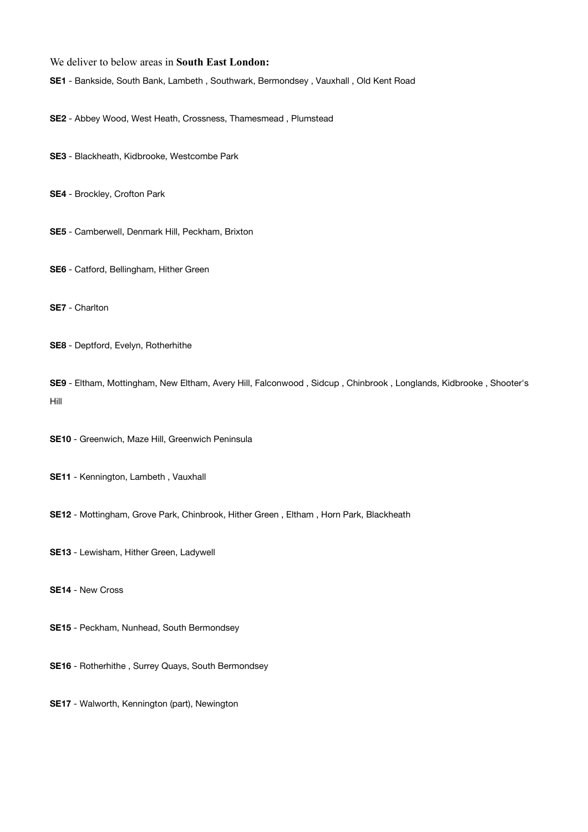## We deliver to below areas in **South East London:**

**SE1** - Bankside, South Bank, Lambeth , Southwark, Bermondsey , Vauxhall , Old Kent Road

**SE2** - Abbey Wood, West Heath, Crossness, Thamesmead , Plumstead

- **SE3** Blackheath, Kidbrooke, Westcombe Park
- **SE4** Brockley, Crofton Park
- **SE5** Camberwell, Denmark Hill, Peckham, Brixton
- **SE6** Catford, Bellingham, Hither Green
- **SE7** Charlton
- **SE8** Deptford, Evelyn, Rotherhithe

**SE9** - Eltham, Mottingham, New Eltham, Avery Hill, Falconwood , Sidcup , Chinbrook , Longlands, Kidbrooke , Shooter's Hill

- **SE10** Greenwich, Maze Hill, Greenwich Peninsula
- **SE11** Kennington, Lambeth , Vauxhall
- **SE12** Mottingham, Grove Park, Chinbrook, Hither Green , Eltham , Horn Park, Blackheath

**SE13** - Lewisham, Hither Green, Ladywell

**SE14** - New Cross

- **SE15** Peckham, Nunhead, South Bermondsey
- **SE16** Rotherhithe , Surrey Quays, South Bermondsey
- **SE17** Walworth, Kennington (part), Newington